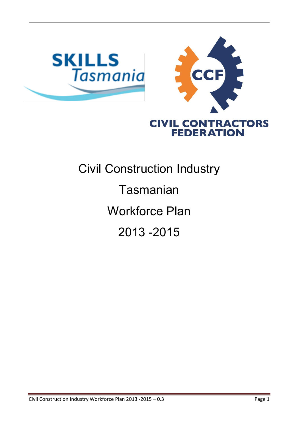

# Civil Construction Industry **Tasmanian** Workforce Plan 2013 -2015

**FEDERATION**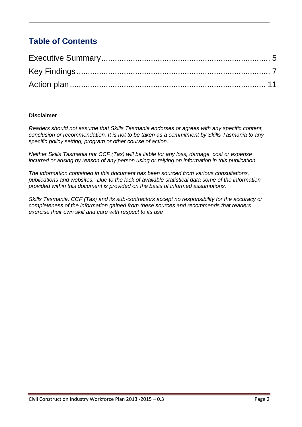### **Table of Contents**

#### **Disclaimer**

*Readers should not assume that Skills Tasmania endorses or agrees with any specific content, conclusion or recommendation. It is not to be taken as a commitment by Skills Tasmania to any specific policy setting, program or other course of action.*

*Neither Skills Tasmania nor CCF (Tas) will be liable for any loss, damage, cost or expense incurred or arising by reason of any person using or relying on information in this publication.*

*The information contained in this document has been sourced from various consultations, publications and websites. Due to the lack of available statistical data some of the information provided within this document is provided on the basis of informed assumptions.*

*Skills Tasmania, CCF (Tas) and its sub-contractors accept no responsibility for the accuracy or completeness of the information gained from these sources and recommends that readers exercise their own skill and care with respect to its use*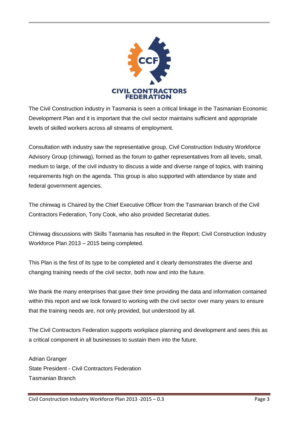

The Civil Construction industry in Tasmania is seen a critical linkage in the Tasmanian Economic Development Plan and it is important that the civil sector maintains sufficient and appropriate levels of skilled workers across all streams of employment.

Consultation with industry saw the representative group, Civil Construction Industry Workforce Advisory Group (chinwag), formed as the forum to gather representatives from all levels, small, medium to large, of the civil industry to discuss a wide and diverse range of topics, with training requirements high on the agenda. This group is also supported with attendance by state and federal government agencies.

The chinwag is Chaired by the Chief Executive Officer from the Tasmanian branch of the Civil Contractors Federation, Tony Cook, who also provided Secretariat duties.

Chinwag discussions with Skills Tasmania has resulted in the Report; Civil Construction Industry Workforce Plan 2013 – 2015 being completed.

This Plan is the first of its type to be completed and it clearly demonstrates the diverse and changing training needs of the civil sector, both now and into the future.

We thank the many enterprises that gave their time providing the data and information contained within this report and we look forward to working with the civil sector over many years to ensure that the training needs are, not only provided, but understood by all.

The Civil Contractors Federation supports workplace planning and development and sees this as a critical component in all businesses to sustain them into the future.

Adrian Granger State President - Civil Contractors Federation Tasmanian Branch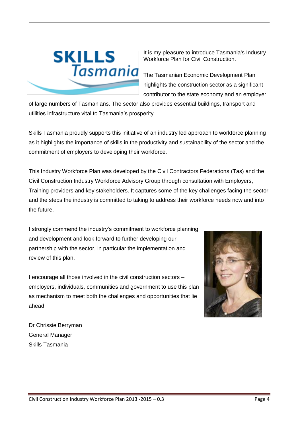

It is my pleasure to introduce Tasmania's Industry Workforce Plan for Civil Construction.

highlights the construction sector as a significant contributor to the state economy and an employer

of large numbers of Tasmanians. The sector also provides essential buildings, transport and utilities infrastructure vital to Tasmania's prosperity.

Skills Tasmania proudly supports this initiative of an industry led approach to workforce planning as it highlights the importance of skills in the productivity and sustainability of the sector and the commitment of employers to developing their workforce.

This Industry Workforce Plan was developed by the Civil Contractors Federations (Tas) and the Civil Construction Industry Workforce Advisory Group through consultation with Employers, Training providers and key stakeholders. It captures some of the key challenges facing the sector and the steps the industry is committed to taking to address their workforce needs now and into the future.

I strongly commend the industry's commitment to workforce planning and development and look forward to further developing our partnership with the sector, in particular the implementation and review of this plan.

I encourage all those involved in the civil construction sectors – employers, individuals, communities and government to use this plan as mechanism to meet both the challenges and opportunities that lie ahead.



Dr Chrissie Berryman General Manager Skills Tasmania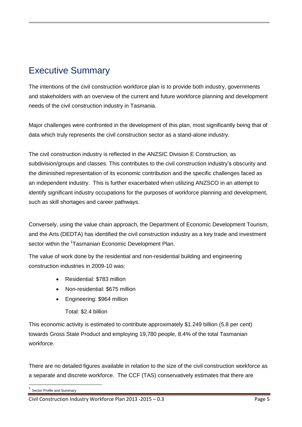## <span id="page-4-0"></span>Executive Summary

The intentions of the civil construction workforce plan is to provide both industry, governments and stakeholders with an overview of the current and future workforce planning and development needs of the civil construction industry in Tasmania.

Major challenges were confronted in the development of this plan, most significantly being that of data which truly represents the civil construction sector as a stand-alone industry.

The civil construction industry is reflected in the ANZSIC Division E Construction, as subdivision/groups and classes. This contributes to the civil construction industry's obscurity and the diminished representation of its economic contribution and the specific challenges faced as an independent industry. This is further exacerbated when utilizing ANZSCO in an attempt to identify significant industry occupations for the purposes of workforce planning and development, such as skill shortages and career pathways.

Conversely, using the value chain approach, the Department of Economic Development Tourism, and the Arts (DEDTA) has identified the civil construction industry as a key trade and investment sector within the <sup>1</sup>Tasmanian Economic Development Plan.

The value of work done by the residential and non-residential building and engineering construction industries in 2009-10 was:

- Residential: \$783 million
- Non-residential: \$675 million
- Engineering: \$964 million

Total: \$2.4 billion

This economic activity is estimated to contribute approximately \$1.249 billion (5.8 per cent) towards Gross State Product and employing 19,780 people, 8.4% of the total Tasmanian workforce.

There are no detailed figures available in relation to the size of the civil construction workforce as a separate and discrete workforce. The CCF (TAS) conservatively estimates that there are

<sup>-</sup>1 Sector Profile and Summary

Civil Construction Industry Workforce Plan 2013 -2015 – 0.3 Page 5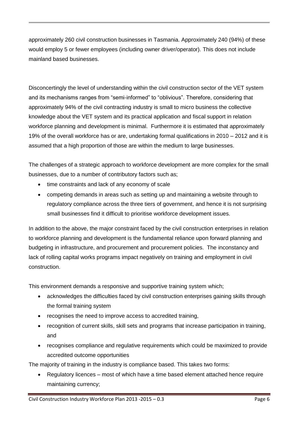approximately 260 civil construction businesses in Tasmania. Approximately 240 (94%) of these would employ 5 or fewer employees (including owner driver/operator). This does not include mainland based businesses.

Disconcertingly the level of understanding within the civil construction sector of the VET system and its mechanisms ranges from "semi-informed" to "oblivious". Therefore, considering that approximately 94% of the civil contracting industry is small to micro business the collective knowledge about the VET system and its practical application and fiscal support in relation workforce planning and development is minimal. Furthermore it is estimated that approximately 19% of the overall workforce has or are, undertaking formal qualifications in 2010 – 2012 and it is assumed that a high proportion of those are within the medium to large businesses.

The challenges of a strategic approach to workforce development are more complex for the small businesses, due to a number of contributory factors such as;

- time constraints and lack of any economy of scale
- competing demands in areas such as setting up and maintaining a website through to regulatory compliance across the three tiers of government, and hence it is not surprising small businesses find it difficult to prioritise workforce development issues.

In addition to the above, the major constraint faced by the civil construction enterprises in relation to workforce planning and development is the fundamental reliance upon forward planning and budgeting in infrastructure, and procurement and procurement policies. The inconstancy and lack of rolling capital works programs impact negatively on training and employment in civil construction.

This environment demands a responsive and supportive training system which;

- acknowledges the difficulties faced by civil construction enterprises gaining skills through the formal training system
- recognises the need to improve access to accredited training,
- recognition of current skills, skill sets and programs that increase participation in training, and
- recognises compliance and regulative requirements which could be maximized to provide accredited outcome opportunities

The majority of training in the industry is compliance based. This takes two forms:

• Regulatory licences – most of which have a time based element attached hence require maintaining currency;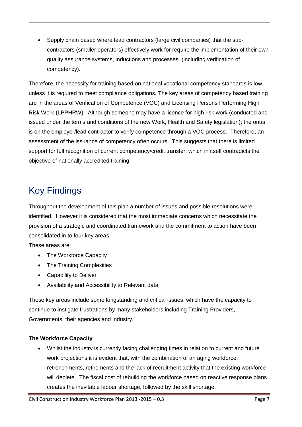Supply chain based where lead contractors (large civil companies) that the subcontractors (smaller operators) effectively work for require the implementation of their own quality assurance systems, inductions and processes. (including verification of competency).

Therefore, the necessity for training based on national vocational competency standards is low unless it is required to meet compliance obligations. The key areas of competency based training are in the areas of Verification of Competence (VOC) and Licensing Persons Performing High Risk Work (LPPHRW). Although someone may have a licence for high risk work (conducted and issued under the terms and conditions of the new Work, Health and Safety legislation); the onus is on the employer/lead contractor to verify competence through a VOC process. Therefore, an assessment of the issuance of competency often occurs. This suggests that there is limited support for full recognition of current competency/credit transfer, which in itself contradicts the objective of nationally accredited training.

## <span id="page-6-0"></span>Key Findings

Throughout the development of this plan a number of issues and possible resolutions were identified. However it is considered that the most immediate concerns which necessitate the provision of a strategic and coordinated framework and the commitment to action have been consolidated in to four key areas.

These areas are:

- The Workforce Capacity
- The Training Complexities
- Capability to Deliver
- Availability and Accessibility to Relevant data

These key areas include some longstanding and critical issues, which have the capacity to continue to instigate frustrations by many stakeholders including Training Providers, Governments, their agencies and industry.

#### **The Workforce Capacity**

 Whilst the industry is currently facing challenging times in relation to current and future work projections it is evident that, with the combination of an aging workforce, retrenchments, retirements and the lack of recruitment activity that the existing workforce will deplete. The fiscal cost of rebuilding the workforce based on reactive response plans creates the inevitable labour shortage, followed by the skill shortage.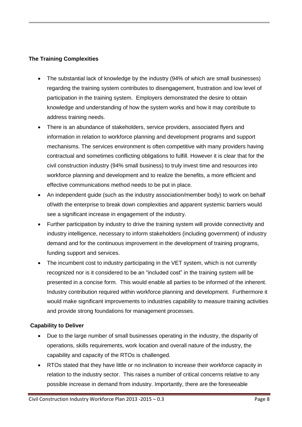#### **The Training Complexities**

- The substantial lack of knowledge by the industry (94% of which are small businesses) regarding the training system contributes to disengagement, frustration and low level of participation in the training system. Employers demonstrated the desire to obtain knowledge and understanding of how the system works and how it may contribute to address training needs.
- There is an abundance of stakeholders, service providers, associated flyers and information in relation to workforce planning and development programs and support mechanisms. The services environment is often competitive with many providers having contractual and sometimes conflicting obligations to fulfill. However it is clear that for the civil construction industry (94% small business) to truly invest time and resources into workforce planning and development and to realize the benefits, a more efficient and effective communications method needs to be put in place.
- An independent guide (such as the industry association/member body) to work on behalf of/with the enterprise to break down complexities and apparent systemic barriers would see a significant increase in engagement of the industry.
- Further participation by industry to drive the training system will provide connectivity and industry intelligence, necessary to inform stakeholders (including government) of industry demand and for the continuous improvement in the development of training programs, funding support and services.
- The incumbent cost to industry participating in the VET system, which is not currently recognized nor is it considered to be an "included cost" in the training system will be presented in a concise form. This would enable all parties to be informed of the inherent. Industry contribution required within workforce planning and development. Furthermore it would make significant improvements to industries capability to measure training activities and provide strong foundations for management processes.

#### **Capability to Deliver**

- Due to the large number of small businesses operating in the industry, the disparity of operations, skills requirements, work location and overall nature of the industry, the capability and capacity of the RTOs is challenged.
- RTOs stated that they have little or no inclination to increase their workforce capacity in relation to the industry sector. This raises a number of critical concerns relative to any possible increase in demand from industry. Importantly, there are the foreseeable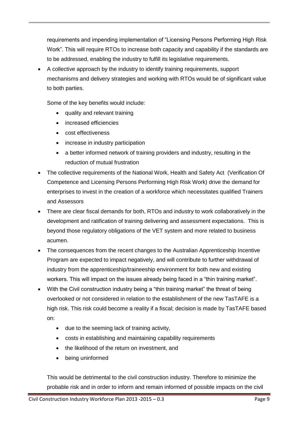requirements and impending implementation of "Licensing Persons Performing High Risk Work". This will require RTOs to increase both capacity and capability if the standards are to be addressed, enabling the industry to fulfill its legislative requirements.

 A collective approach by the industry to identify training requirements, support mechanisms and delivery strategies and working with RTOs would be of significant value to both parties.

Some of the key benefits would include:

- quality and relevant training
- increased efficiencies
- cost effectiveness
- increase in industry participation
- a better informed network of training providers and industry, resulting in the reduction of mutual frustration
- The collective requirements of the National Work, Health and Safety Act (Verification Of Competence and Licensing Persons Performing High Risk Work) drive the demand for enterprises to invest in the creation of a workforce which necessitates qualified Trainers and Assessors
- There are clear fiscal demands for both, RTOs and industry to work collaboratively in the development and ratification of training delivering and assessment expectations. This is beyond those regulatory obligations of the VET system and more related to business acumen.
- The consequences from the recent changes to the Australian Apprenticeship Incentive Program are expected to impact negatively, and will contribute to further withdrawal of industry from the apprenticeship/traineeship environment for both new and existing workers. This will impact on the issues already being faced in a "thin training market".
- With the Civil construction industry being a "thin training market" the threat of being overlooked or not considered in relation to the establishment of the new TasTAFE is a high risk. This risk could become a reality if a fiscal; decision is made by TasTAFE based on:
	- due to the seeming lack of training activity,
	- costs in establishing and maintaining capability requirements
	- the likelihood of the return on investment, and
	- being uninformed

This would be detrimental to the civil construction industry. Therefore to minimize the probable risk and in order to inform and remain informed of possible impacts on the civil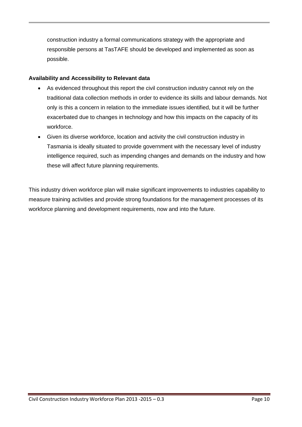construction industry a formal communications strategy with the appropriate and responsible persons at TasTAFE should be developed and implemented as soon as possible.

#### **Availability and Accessibility to Relevant data**

- As evidenced throughout this report the civil construction industry cannot rely on the traditional data collection methods in order to evidence its skills and labour demands. Not only is this a concern in relation to the immediate issues identified, but it will be further exacerbated due to changes in technology and how this impacts on the capacity of its workforce.
- Given its diverse workforce, location and activity the civil construction industry in Tasmania is ideally situated to provide government with the necessary level of industry intelligence required, such as impending changes and demands on the industry and how these will affect future planning requirements.

This industry driven workforce plan will make significant improvements to industries capability to measure training activities and provide strong foundations for the management processes of its workforce planning and development requirements, now and into the future.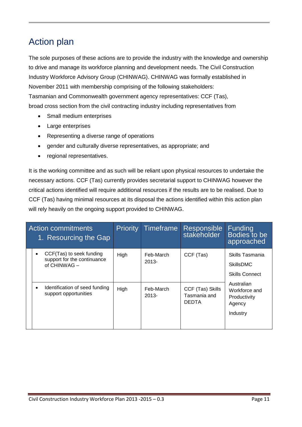## <span id="page-10-0"></span>Action plan

The sole purposes of these actions are to provide the industry with the knowledge and ownership to drive and manage its workforce planning and development needs. The Civil Construction Industry Workforce Advisory Group (CHINWAG). CHINWAG was formally established in November 2011 with membership comprising of the following stakeholders: Tasmanian and Commonwealth government agency representatives: CCF (Tas), broad cross section from the civil contracting industry including representatives from

- Small medium enterprises
- Large enterprises
- Representing a diverse range of operations
- gender and culturally diverse representatives, as appropriate; and
- regional representatives.

It is the working committee and as such will be reliant upon physical resources to undertake the necessary actions. CCF (Tas) currently provides secretarial support to CHINWAG however the critical actions identified will require additional resources if the results are to be realised. Due to CCF (Tas) having minimal resources at its disposal the actions identified within this action plan will rely heavily on the ongoing support provided to CHINWAG.

| <b>Action commitments</b><br>1. Resourcing the Gap |           | <b>Priority</b>                                                         | Timeframe | Responsible<br>stakeholder | Funding<br>Bodies to be<br>approached            |                                                                                                                                   |
|----------------------------------------------------|-----------|-------------------------------------------------------------------------|-----------|----------------------------|--------------------------------------------------|-----------------------------------------------------------------------------------------------------------------------------------|
|                                                    | $\bullet$ | CCF(Tas) to seek funding<br>support for the continuance<br>of CHINWAG - | High      | Feb-March<br>$2013 -$      | CCF (Tas)                                        | Skills Tasmania<br><b>SkillsDMC</b><br><b>Skills Connect</b><br>Australian<br>Workforce and<br>Productivity<br>Agency<br>Industry |
|                                                    |           | Identification of seed funding<br>support opportunities                 | High      | Feb-March<br>$2013 -$      | CCF (Tas) Skills<br>Tasmania and<br><b>DEDTA</b> |                                                                                                                                   |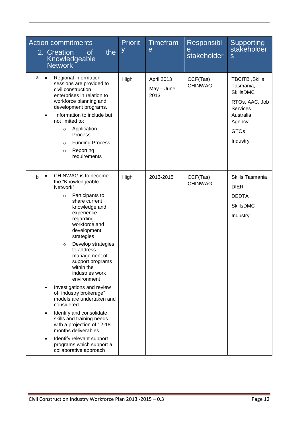| <b>Action commitments</b><br>2. Creation<br>the<br><b>of</b><br>Knowledgeable<br><b>Network</b>                                                                                                                                                                                                                                                                                                                                                                                                                                                                                                                                                                        | <b>Priorit</b><br>У | Timefram<br>e                      | <b>Responsibl</b><br>e<br>stakeholder | <b>Supporting</b><br>stakeholder<br>S                                                                                                  |
|------------------------------------------------------------------------------------------------------------------------------------------------------------------------------------------------------------------------------------------------------------------------------------------------------------------------------------------------------------------------------------------------------------------------------------------------------------------------------------------------------------------------------------------------------------------------------------------------------------------------------------------------------------------------|---------------------|------------------------------------|---------------------------------------|----------------------------------------------------------------------------------------------------------------------------------------|
| Regional information<br>a<br>sessions are provided to<br>civil construction<br>enterprises in relation to<br>workforce planning and<br>development programs.<br>Information to include but<br>$\bullet$<br>not limited to:<br>Application<br>$\circ$<br>Process<br><b>Funding Process</b><br>$\circ$<br>Reporting<br>$\circ$<br>requirements                                                                                                                                                                                                                                                                                                                           | High                | April 2013<br>$May - June$<br>2013 | CCF(Tas)<br><b>CHINWAG</b>            | TBCITB, Skills<br>Tasmania,<br><b>SkillsDMC</b><br>RTOs, AAC, Job<br><b>Services</b><br>Australia<br>Agency<br><b>GTOs</b><br>Industry |
| CHINWAG is to become<br>b<br>the "Knowledgeable<br>Network"<br>Participants to<br>$\circ$<br>share current<br>knowledge and<br>experience<br>regarding<br>workforce and<br>development<br>strategies<br>Develop strategies<br>$\circ$<br>to address<br>management of<br>support programs<br>within the<br>industries work<br>environment<br>Investigations and review<br>of "industry brokerage"<br>models are undertaken and<br>considered<br>Identify and consolidate<br>$\bullet$<br>skills and training needs<br>with a projection of 12-18<br>months deliverables<br>Identify relevant support<br>$\bullet$<br>programs which support a<br>collaborative approach | High                | 2013-2015                          | CCF(Tas)<br><b>CHINWAG</b>            | Skills Tasmania<br><b>DIER</b><br><b>DEDTA</b><br><b>SkillsDMC</b><br>Industry                                                         |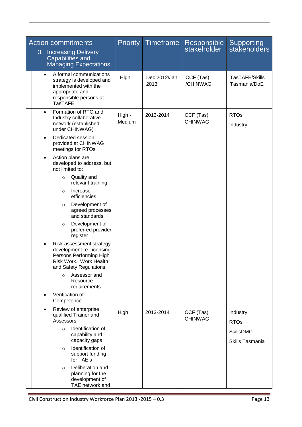| <b>Action commitments</b>                                                                                                                                | <b>Priority</b>  | Timeframe            | <b>Responsible</b>          | Supporting<br>stakeholders          |
|----------------------------------------------------------------------------------------------------------------------------------------------------------|------------------|----------------------|-----------------------------|-------------------------------------|
| 3. Increasing Delivery<br><b>Capabilities and</b><br><b>Managing Expectations</b>                                                                        |                  |                      | stakeholder                 |                                     |
| A formal communications<br>$\bullet$<br>strategy is developed and<br>implemented with the<br>appropriate and<br>responsible persons at<br><b>TasTAFE</b> | High             | Dec 2012/Jan<br>2013 | CCF (Tas)<br>/CHINWAG       | TasTAFE/Skills<br>Tasmania/DoE      |
| Formation of RTO and<br>$\bullet$<br>Industry collaborative<br>network (established<br>under CHINWAG)                                                    | High -<br>Medium | 2013-2014            | CCF (Tas)<br><b>CHINWAG</b> | <b>RTOs</b><br>Industry             |
| Dedicated session<br>$\bullet$<br>provided at CHINWAG<br>meetings for RTOs                                                                               |                  |                      |                             |                                     |
| Action plans are<br>$\bullet$<br>developed to address, but<br>not limited to:                                                                            |                  |                      |                             |                                     |
| Quality and<br>$\circ$<br>relevant training                                                                                                              |                  |                      |                             |                                     |
| Increase<br>$\circ$<br>efficiencies                                                                                                                      |                  |                      |                             |                                     |
| Development of<br>$\circ$<br>agreed processes<br>and standards                                                                                           |                  |                      |                             |                                     |
| Development of<br>$\circ$<br>preferred provider<br>register                                                                                              |                  |                      |                             |                                     |
| Risk assessment strategy<br>development re Licensing<br>Persons Performing High<br>Risk Work. Work Health<br>and Safety Regulations:                     |                  |                      |                             |                                     |
| Assessor and<br>$\circ$<br>Resource<br>requirements                                                                                                      |                  |                      |                             |                                     |
| Verification of<br>Competence                                                                                                                            |                  |                      |                             |                                     |
| Review of enterprise<br>$\bullet$<br>qualified Trainer and<br>Assessors                                                                                  | High             | 2013-2014            | CCF (Tas)<br><b>CHINWAG</b> | Industry<br><b>RTOs</b>             |
| Identification of<br>$\circ$<br>capability and<br>capacity gaps                                                                                          |                  |                      |                             | <b>SkillsDMC</b><br>Skills Tasmania |
| Identification of<br>$\circ$<br>support funding<br>for TAE's                                                                                             |                  |                      |                             |                                     |
| Deliberation and<br>$\circ$<br>planning for the<br>development of<br>TAE network and                                                                     |                  |                      |                             |                                     |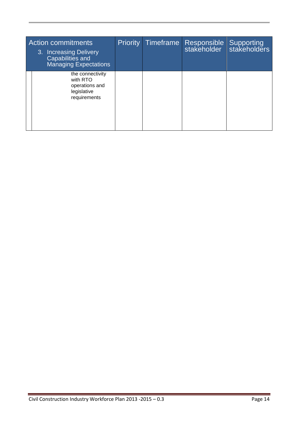| <b>Action commitments</b><br>3. Increasing Delivery<br>Capabilities and<br><b>Managing Expectations</b> | <b>Priority</b> | Timeframe | Responsible<br>stakeholder | Supporting<br>stakeholders |
|---------------------------------------------------------------------------------------------------------|-----------------|-----------|----------------------------|----------------------------|
| the connectivity<br>with RTO<br>operations and<br>legislative<br>requirements                           |                 |           |                            |                            |